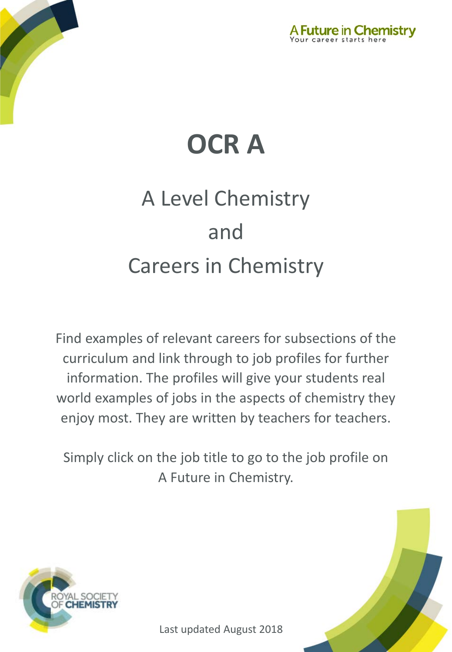



# A Level Chemistry and Careers in Chemistry

Find examples of relevant careers for subsections of the curriculum and link through to job profiles for further information. The profiles will give your students real world examples of jobs in the aspects of chemistry they enjoy most. They are written by teachers for teachers.

Simply click on the job title to go to the job profile on A Future in Chemistry.



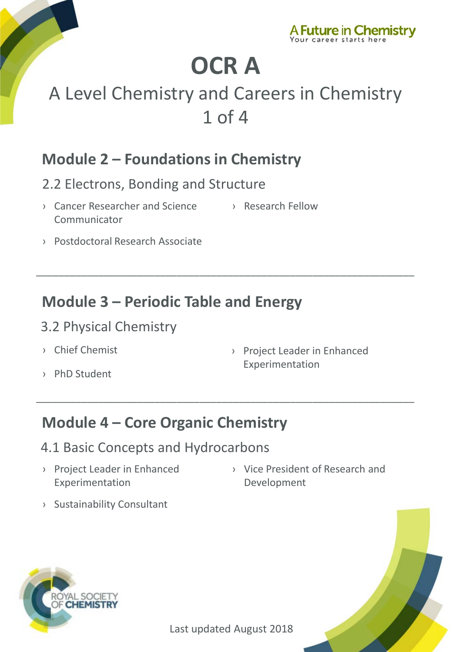

## A Level Chemistry and Careers in Chemistry 1 of 4

\_\_\_\_\_\_\_\_\_\_\_\_\_\_\_\_\_\_\_\_\_\_\_\_\_\_\_\_\_\_\_\_\_\_\_\_\_\_\_\_\_\_\_\_\_\_\_\_\_\_\_\_\_\_\_\_\_\_\_\_\_\_\_\_\_\_\_

\_\_\_\_\_\_\_\_\_\_\_\_\_\_\_\_\_\_\_\_\_\_\_\_\_\_\_\_\_\_\_\_\_\_\_\_\_\_\_\_\_\_\_\_\_\_\_\_\_\_\_\_\_\_\_\_\_\_\_\_\_\_\_\_\_\_\_

### **Module 2 – Foundations in Chemistry**

- 2.2 Electrons, Bonding and Structure
- › [Cancer Researcher and Science](http://www.rsc.org/careers/future/cancer-researcher-and-science-communicator)  **Communicator** › [Research Fellow](http://www.rsc.org/careers/future/research-fellow)
- › [Postdoctoral Research Associate](http://www.rsc.org/careers/future/postdoctoral-research-associate)

### **Module 3 – Periodic Table and Energy**

#### 3.2 Physical Chemistry

- › [Chief Chemist](http://www.rsc.org/careers/future/chief-chemist)
- › [PhD Student](http://www.rsc.org/careers/future/phd-student)

› [Project Leader in Enhanced](http://www.rsc.org/careers/future/project-leader-enhanced-experimentation)  Experimentation

### **Module 4 – Core Organic Chemistry**

- 4.1 Basic Concepts and Hydrocarbons
- › [Project Leader in Enhanced](http://www.rsc.org/careers/future/project-leader-enhanced-experimentation)  Experimentation
- › [Vice President of Research and](http://www.rsc.org/careers/future/vice-president-research-and-development)  Development
- › [Sustainability Consultant](http://www.rsc.org/careers/future/sustainability-consultant)



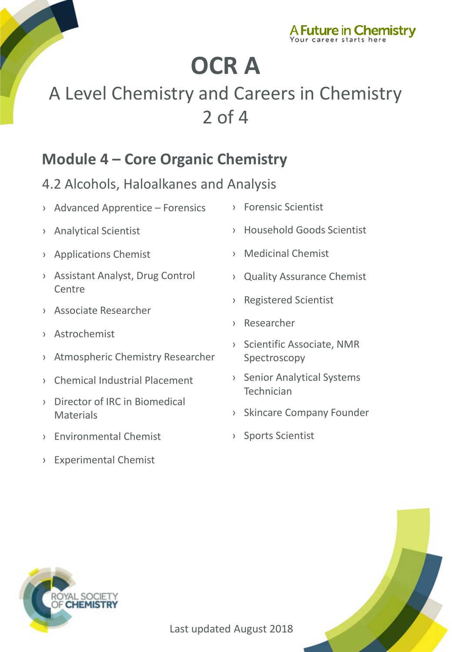

## A Level Chemistry and Careers in Chemistry 2 of 4

### **Module 4 – Core Organic Chemistry**

#### 4.2 Alcohols, Haloalkanes and Analysis

- › [Advanced Apprentice –](http://www.rsc.org/careers/future/advanced-apprentice-forensics) Forensics
- › [Analytical Scientist](http://www.rsc.org/careers/future/analytical-scientist)
- › [Applications Chemist](http://www.rsc.org/careers/future/applications-chemist)
- › [Assistant Analyst, Drug Control](http://www.rsc.org/careers/future/assistant-analyst-drug-control-centre)  Centre
- › [Associate Researcher](http://www.rsc.org/careers/future/associate-researcher)
- › [Astrochemist](http://www.rsc.org/careers/future/astrochemist)
- › [Atmospheric Chemistry Researcher](http://www.rsc.org/careers/future/atmospheric-chemistry-researcher)
- › [Chemical Industrial Placement](http://www.rsc.org/careers/future/chemical-industrial-placement)
- › [Director of IRC in Biomedical](http://www.rsc.org/careers/future/director-irc-biomedical-materials)  Materials
- › [Environmental Chemist](http://www.rsc.org/careers/future/environmental-chemist)
- › [Experimental Chemist](http://www.rsc.org/careers/future/experimental-chemist)
- › [Forensic Scientist](http://www.rsc.org/careers/future/forensic-scientist)
- › [Household Goods Scientist](http://www.rsc.org/careers/future/household-goods-senior-scientist)
- › [Medicinal Chemist](http://www.rsc.org/careers/future/medicinal-chemist)
- › [Quality Assurance Chemist](http://www.rsc.org/careers/future/quality-assurance-chemist)
- › [Registered Scientist](http://www.rsc.org/careers/future/registered-scientist)
- › [Researcher](http://www.rsc.org/careers/future/researcher-internship)
- › [Scientific Associate, NMR](http://www.rsc.org/careers/future/scientific-associate-nmr-spectroscopy)  Spectroscopy
- › [Senior Analytical Systems](http://www.rsc.org/careers/future/senior-analytical-systems-technician)  **Technician**
- › [Skincare Company Founder](http://www.rsc.org/careers/future/founder-saaf-skincare)
- › [Sports Scientist](http://www.rsc.org/careers/future/senior-sports-scientist)



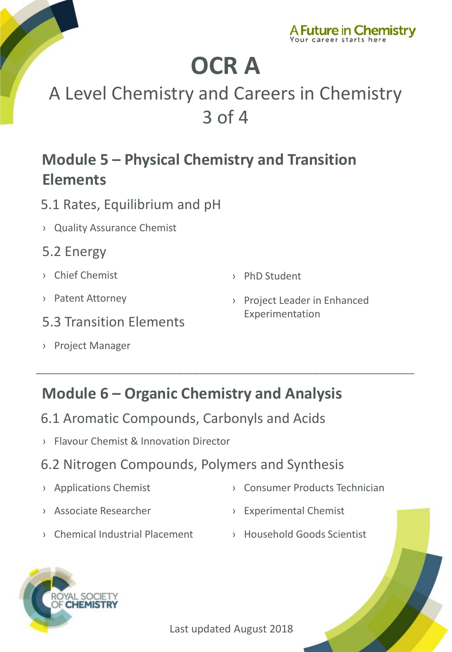

## A Level Chemistry and Careers in Chemistry 3 of 4

### **Module 5 – Physical Chemistry and Transition Elements**

- 5.1 Rates, Equilibrium and pH
- › [Quality Assurance Chemist](http://www.rsc.org/careers/future/quality-assurance-chemist)
- 5.2 Energy
- › [Chief Chemist](http://www.rsc.org/careers/future/chief-chemist)

› [PhD Student](http://www.rsc.org/careers/future/phd-student)

- › [Patent Attorney](http://www.rsc.org/careers/future/patent-attorney)
- 5.3 Transition Elements
- › [Project Manager](http://www.rsc.org/careers/future/project-manager)

› [Project Leader in Enhanced](http://www.rsc.org/careers/future/project-leader-enhanced-experimentation)  Experimentation

### **Module 6 – Organic Chemistry and Analysis**

\_\_\_\_\_\_\_\_\_\_\_\_\_\_\_\_\_\_\_\_\_\_\_\_\_\_\_\_\_\_\_\_\_\_\_\_\_\_\_\_\_\_\_\_\_\_\_\_\_\_\_\_\_\_\_\_\_\_\_\_\_\_\_\_\_\_\_

- 6.1 Aromatic Compounds, Carbonyls and Acids
- › Flavour [Chemist & Innovation Director](http://www.rsc.org/careers/future/flavourist-innovation-director)

#### 6.2 Nitrogen Compounds, Polymers and Synthesis

- 
- › [Applications Chemist](http://www.rsc.org/careers/future/applications-chemist) › [Consumer Products Technician](http://www.rsc.org/careers/future/consumer-products-technician)
- 
- › [Associate Researcher](http://www.rsc.org/careers/future/associate-researcher) › [Experimental Chemist](http://www.rsc.org/careers/future/experimental-chemist)
- › [Chemical Industrial Placement](http://www.rsc.org/careers/future/chemical-industrial-placement) › [Household Goods Scientist](http://www.rsc.org/careers/future/household-goods-senior-scientist)
	-